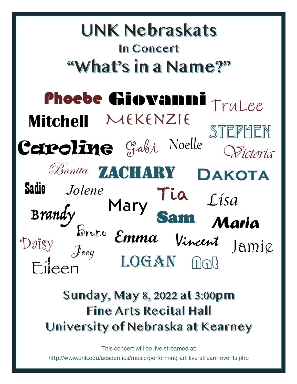### **UNK Nebraskats In Concert** "What's in a Name?" Phoebe Giovanni TruLee Mekenzie **Mitchell** Stephen Ceroline Gabi Noelle Wictoria Bonita ZACHARY **Dakota** Sadie Jolene Tia *Lisa* MaryBrandy<br>Bruno Sam Maria **Emma** Vincent Jamie Daisy Joey LOGAN Nat Eileen

# Sunday, May 8, 2022 at 3:00pm **Fine Arts Recital Hall** University of Nebraska at Kearney

This concert will be live streamed at:

http://www.unk.edu/academics/music/performing-art-live-stream-events.php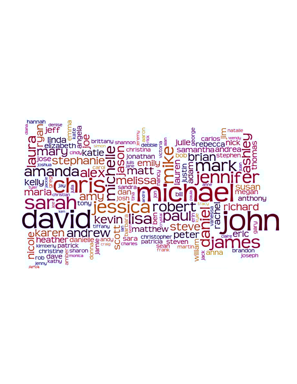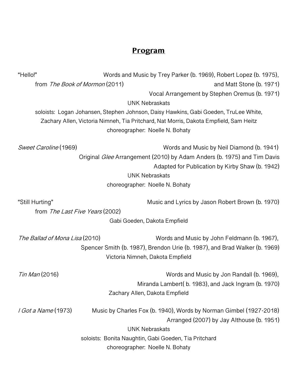## **Program**

| "Hello!"                       |                                                       | Words and Music by Trey Parker (b. 1969), Robert Lopez (b. 1975),                     |
|--------------------------------|-------------------------------------------------------|---------------------------------------------------------------------------------------|
| from The Book of Mormon (2011) |                                                       | and Matt Stone (b. 1971)                                                              |
|                                |                                                       | Vocal Arrangement by Stephen Oremus (b. 1971)                                         |
|                                | <b>UNK Nebraskats</b>                                 |                                                                                       |
|                                |                                                       | soloists: Logan Johansen, Stephen Johnson, Daisy Hawkins, Gabi Goeden, TruLee White,  |
|                                |                                                       | Zachary Allen, Victoria Nimneh, Tia Pritchard, Nat Morris, Dakota Empfield, Sam Heitz |
|                                | choreographer: Noelle N. Bohaty                       |                                                                                       |
| Sweet Caroline (1969)          |                                                       | Words and Music by Neil Diamond (b. 1941)                                             |
|                                |                                                       | Original Glee Arrangement (2010) by Adam Anders (b. 1975) and Tim Davis               |
|                                |                                                       | Adapted for Publication by Kirby Shaw (b. 1942)                                       |
|                                | <b>UNK Nebraskats</b>                                 |                                                                                       |
|                                | choreographer: Noelle N. Bohaty                       |                                                                                       |
| "Still Hurting"                |                                                       | Music and Lyrics by Jason Robert Brown (b. 1970)                                      |
|                                | from The Last Five Years (2002)                       |                                                                                       |
|                                | Gabi Goeden, Dakota Empfield                          |                                                                                       |
| The Ballad of Mona Lisa (2010) |                                                       | Words and Music by John Feldmann (b. 1967),                                           |
|                                |                                                       | Spencer Smith (b. 1987), Brendon Urie (b. 1987), and Brad Walker (b. 1969)            |
|                                | Victoria Nimneh, Dakota Empfield                      |                                                                                       |
| <i>Tin Man</i> (2016)          |                                                       | Words and Music by Jon Randall (b. 1969),                                             |
|                                |                                                       | Miranda Lambert(b. 1983), and Jack Ingram (b. 1970)                                   |
|                                | Zachary Allen, Dakota Empfield                        |                                                                                       |
| <i>I Got a Name</i> (1973)     |                                                       | Music by Charles Fox (b. 1940), Words by Norman Gimbel (1927-2018)                    |
|                                |                                                       | Arranged (2007) by Jay Althouse (b. 1951)                                             |
|                                | <b>UNK Nebraskats</b>                                 |                                                                                       |
|                                | soloists: Bonita Naughtin, Gabi Goeden, Tia Pritchard |                                                                                       |
|                                | choreographer: Noelle N. Bohaty                       |                                                                                       |
|                                |                                                       |                                                                                       |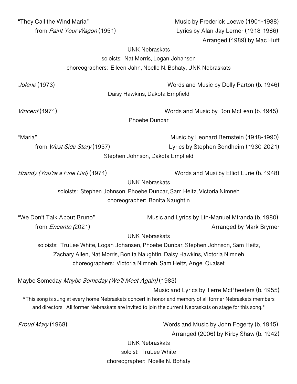| "They Call the Wind Maria"                                                                               | Music by Frederick Loewe (1901-1988)                                                                     |  |  |
|----------------------------------------------------------------------------------------------------------|----------------------------------------------------------------------------------------------------------|--|--|
| from <i>Paint Your Wagon</i> (1951)                                                                      | Lyrics by Alan Jay Lerner (1918-1986)                                                                    |  |  |
|                                                                                                          | Arranged (1989) by Mac Huff                                                                              |  |  |
| <b>UNK Nebraskats</b>                                                                                    |                                                                                                          |  |  |
| soloists: Nat Morris, Logan Johansen                                                                     |                                                                                                          |  |  |
| choreographers: Eileen Jahn, Noelle N. Bohaty, UNK Nebraskats                                            |                                                                                                          |  |  |
|                                                                                                          |                                                                                                          |  |  |
| <i>Jolene</i> (1973)                                                                                     | Words and Music by Dolly Parton (b. 1946)                                                                |  |  |
| Daisy Hawkins, Dakota Empfield                                                                           |                                                                                                          |  |  |
| <i>Vincent</i> (1971)                                                                                    | Words and Music by Don McLean (b. 1945)                                                                  |  |  |
| Phoebe Dunbar                                                                                            |                                                                                                          |  |  |
| "Maria"                                                                                                  | Music by Leonard Bernstein (1918-1990)                                                                   |  |  |
| from West Side Story (1957)                                                                              | Lyrics by Stephen Sondheim (1930-2021)                                                                   |  |  |
| Stephen Johnson, Dakota Empfield                                                                         |                                                                                                          |  |  |
|                                                                                                          |                                                                                                          |  |  |
| Brandy (You're a Fine Girl) (1971)                                                                       | Words and Musi by Elliot Lurie (b. 1948)                                                                 |  |  |
| <b>UNK Nebraskats</b>                                                                                    |                                                                                                          |  |  |
| soloists: Stephen Johnson, Phoebe Dunbar, Sam Heitz, Victoria Nimneh                                     |                                                                                                          |  |  |
| choreographer: Bonita Naughtin                                                                           |                                                                                                          |  |  |
| "We Don't Talk About Bruno"                                                                              | Music and Lyrics by Lin-Manuel Miranda (b. 1980)                                                         |  |  |
| from <i>Encanto</i> (2021)                                                                               | Arranged by Mark Brymer                                                                                  |  |  |
|                                                                                                          | <b>UNK Nebraskats</b>                                                                                    |  |  |
| soloists: TruLee White, Logan Johansen, Phoebe Dunbar, Stephen Johnson, Sam Heitz,                       |                                                                                                          |  |  |
| Zachary Allen, Nat Morris, Bonita Naughtin, Daisy Hawkins, Victoria Nimneh                               |                                                                                                          |  |  |
| choreographers: Victoria Nimneh, Sam Heitz, Angel Qualset                                                |                                                                                                          |  |  |
| Maybe Someday Maybe Someday (We'll Meet Again) (1983)                                                    |                                                                                                          |  |  |
|                                                                                                          | Music and Lyrics by Terre McPheeters (b. 1955)                                                           |  |  |
| *This song is sung at every home Nebraskats concert in honor and memory of all former Nebraskats members |                                                                                                          |  |  |
|                                                                                                          | and directors. All former Nebraskats are invited to join the current Nebraskats on stage for this song.* |  |  |
| Proud Mary (1968)                                                                                        | Words and Music by John Fogerty (b. 1945)                                                                |  |  |
|                                                                                                          | Arranged (2006) by Kirby Shaw (b. 1942)                                                                  |  |  |
| <b>UNK Nebraskats</b>                                                                                    |                                                                                                          |  |  |
| soloist: TruLee White                                                                                    |                                                                                                          |  |  |
| choreographer: Noelle N. Bohaty                                                                          |                                                                                                          |  |  |
|                                                                                                          |                                                                                                          |  |  |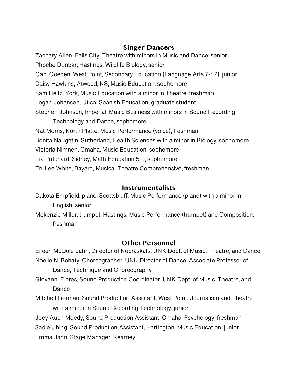#### **Singer-Dancers**

Zachary Allen, Falls City, Theatre with minors in Music and Dance, senior Phoebe Dunbar, Hastings, Wildlife Biology, senior Gabi Goeden, West Point, Secondary Education (Language Arts 7-12), junior Daisy Hawkins, Atwood, KS, Music Education, sophomore Sam Heitz, York, Music Education with a minor in Theatre, freshman Logan Johansen, Utica, Spanish Education, graduate student Stephen Johnson, Imperial, Music Business with minors in Sound Recording Technology and Dance, sophomore Nat Morris, North Platte, Music Performance (voice), freshman Bonita Naughtin, Sutherland, Health Sciences with a minor in Biology, sophomore Victoria Nimneh, Omaha, Music Education, sophomore Tia Pritchard, Sidney, Math Education 5-9, sophomore

TruLee White, Bayard, Musical Theatre Comprehensive, freshman

#### **Instrumentalists**

Dakota Empfield, piano, Scottsbluff, Music Performance (piano) with a minor in English, senior

Mekenzie Miller, trumpet, Hastings, Music Performance (trumpet) and Composition, freshman

#### **Other Personnel**

Eileen McDole Jahn, Director of Nebraskats, UNK Dept. of Music, Theatre, and Dance Noelle N. Bohaty, Choreographer, UNK Director of Dance, Associate Professor of Dance, Technique and Choreography

Giovanni Flores, Sound Production Coordinator, UNK Dept. of Music, Theatre, and Dance

Mitchell Lierman, Sound Production Assistant, West Point, Journalism and Theatre with a minor in Sound Recording Technology, junior

Joey Auch Moedy, Sound Production Assistant, Omaha, Psychology, freshman Sadie Uhing, Sound Production Assistant, Hartington, Music Education, junior Emma Jahn, Stage Manager, Kearney